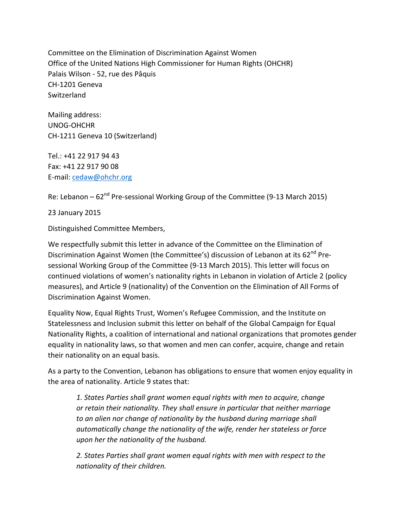Committee on the Elimination of Discrimination Against Women Office of the United Nations High Commissioner for Human Rights (OHCHR) Palais Wilson - 52, rue des Pâquis CH-1201 Geneva Switzerland

Mailing address: UNOG-OHCHR CH-1211 Geneva 10 (Switzerland)

Tel.: +41 22 917 94 43 Fax: +41 22 917 90 08 E-mail: [cedaw@ohchr.org](mailto:cedaw@ohchr.org)

Re: Lebanon –  $62^{nd}$  Pre-sessional Working Group of the Committee (9-13 March 2015)

23 January 2015

Distinguished Committee Members,

We respectfully submit this letter in advance of the Committee on the Elimination of Discrimination Against Women (the Committee's) discussion of Lebanon at its 62<sup>nd</sup> Presessional Working Group of the Committee (9-13 March 2015). This letter will focus on continued violations of women's nationality rights in Lebanon in violation of Article 2 (policy measures), and Article 9 (nationality) of the Convention on the Elimination of All Forms of Discrimination Against Women.

Equality Now, Equal Rights Trust, Women's Refugee Commission, and the Institute on Statelessness and Inclusion submit this letter on behalf of the Global Campaign for Equal Nationality Rights, a coalition of international and national organizations that promotes gender equality in nationality laws, so that women and men can confer, acquire, change and retain their nationality on an equal basis.

As a party to the Convention, Lebanon has obligations to ensure that women enjoy equality in the area of nationality. Article 9 states that:

*1. States Parties shall grant women equal rights with men to acquire, change or retain their nationality. They shall ensure in particular that neither marriage to an alien nor change of nationality by the husband during marriage shall automatically change the nationality of the wife, render her stateless or force upon her the nationality of the husband.*

*2. States Parties shall grant women equal rights with men with respect to the nationality of their children.*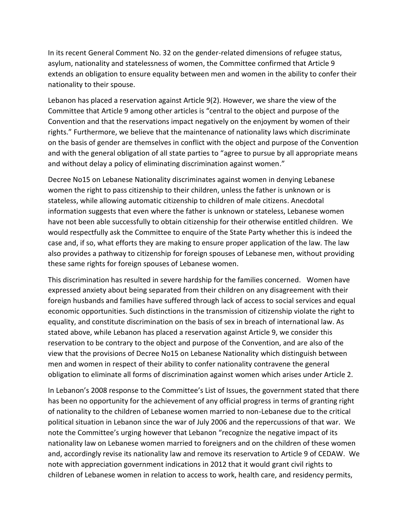In its recent General Comment No. 32 on the gender-related dimensions of refugee status, asylum, nationality and statelessness of women, the Committee confirmed that Article 9 extends an obligation to ensure equality between men and women in the ability to confer their nationality to their spouse.

Lebanon has placed a reservation against Article 9(2). However, we share the view of the Committee that Article 9 among other articles is "central to the object and purpose of the Convention and that the reservations impact negatively on the enjoyment by women of their rights." Furthermore, we believe that the maintenance of nationality laws which discriminate on the basis of gender are themselves in conflict with the object and purpose of the Convention and with the general obligation of all state parties to "agree to pursue by all appropriate means and without delay a policy of eliminating discrimination against women."

Decree No15 on Lebanese Nationality discriminates against women in denying Lebanese women the right to pass citizenship to their children, unless the father is unknown or is stateless, while allowing automatic citizenship to children of male citizens. Anecdotal information suggests that even where the father is unknown or stateless, Lebanese women have not been able successfully to obtain citizenship for their otherwise entitled children. We would respectfully ask the Committee to enquire of the State Party whether this is indeed the case and, if so, what efforts they are making to ensure proper application of the law. The law also provides a pathway to citizenship for foreign spouses of Lebanese men, without providing these same rights for foreign spouses of Lebanese women.

This discrimination has resulted in severe hardship for the families concerned. Women have expressed anxiety about being separated from their children on any disagreement with their foreign husbands and families have suffered through lack of access to social services and equal economic opportunities. Such distinctions in the transmission of citizenship violate the right to equality, and constitute discrimination on the basis of sex in breach of international law. As stated above, while Lebanon has placed a reservation against Article 9, we consider this reservation to be contrary to the object and purpose of the Convention, and are also of the view that the provisions of Decree No15 on Lebanese Nationality which distinguish between men and women in respect of their ability to confer nationality contravene the general obligation to eliminate all forms of discrimination against women which arises under Article 2.

In Lebanon's 2008 response to the Committee's List of Issues, the government stated that there has been no opportunity for the achievement of any official progress in terms of granting right of nationality to the children of Lebanese women married to non-Lebanese due to the critical political situation in Lebanon since the war of July 2006 and the repercussions of that war. We note the Committee's urging however that Lebanon "recognize the negative impact of its nationality law on Lebanese women married to foreigners and on the children of these women and, accordingly revise its nationality law and remove its reservation to Article 9 of CEDAW. We note with appreciation government indications in 2012 that it would grant civil rights to children of Lebanese women in relation to access to work, health care, and residency permits,